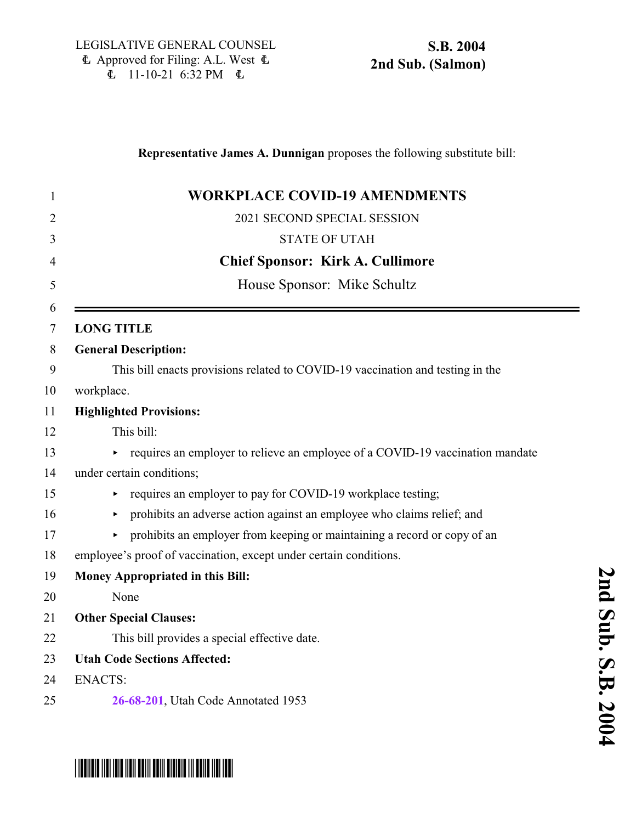\*SB2004S02\*

|                | Representative James A. Dunnigan proposes the following substitute bill:       |
|----------------|--------------------------------------------------------------------------------|
| 1              | <b>WORKPLACE COVID-19 AMENDMENTS</b>                                           |
| $\overline{2}$ | 2021 SECOND SPECIAL SESSION                                                    |
| 3              | <b>STATE OF UTAH</b>                                                           |
| $\overline{4}$ | <b>Chief Sponsor: Kirk A. Cullimore</b>                                        |
| 5              | House Sponsor: Mike Schultz                                                    |
| 6<br>7         | <b>LONG TITLE</b>                                                              |
| 8              | <b>General Description:</b>                                                    |
| 9              | This bill enacts provisions related to COVID-19 vaccination and testing in the |
| 10             | workplace.                                                                     |
| 11             | <b>Highlighted Provisions:</b>                                                 |
| 12             | This bill:                                                                     |
| 13             | requires an employer to relieve an employee of a COVID-19 vaccination mandate  |
| 14             | under certain conditions;                                                      |
| 15             | requires an employer to pay for COVID-19 workplace testing;                    |
| 16             | prohibits an adverse action against an employee who claims relief; and<br>►    |
| 17             | prohibits an employer from keeping or maintaining a record or copy of an<br>►  |
| 18             | employee's proof of vaccination, except under certain conditions.              |
| 19             | Money Appropriated in this Bill:                                               |
| 20             | None                                                                           |
| 21             | <b>Other Special Clauses:</b>                                                  |
| 22             | This bill provides a special effective date.                                   |
| 23             | <b>Utah Code Sections Affected:</b>                                            |
| 24             | <b>ENACTS:</b>                                                                 |
| 25             | 26-68-201, Utah Code Annotated 1953                                            |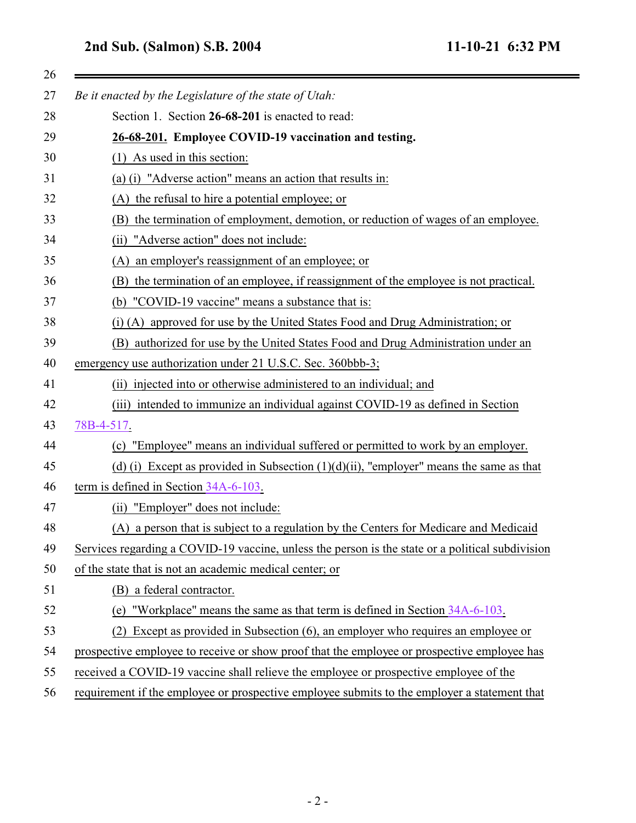## <span id="page-1-0"></span>**2nd Sub. (Salmon) S.B. 2004 11-10-21 6:32 PM**

| 26 |                                                                                                  |
|----|--------------------------------------------------------------------------------------------------|
| 27 | Be it enacted by the Legislature of the state of Utah:                                           |
| 28 | Section 1. Section 26-68-201 is enacted to read:                                                 |
| 29 | 26-68-201. Employee COVID-19 vaccination and testing.                                            |
| 30 | $(1)$ As used in this section:                                                                   |
| 31 | (a) (i) "Adverse action" means an action that results in:                                        |
| 32 | (A) the refusal to hire a potential employee; or                                                 |
| 33 | the termination of employment, demotion, or reduction of wages of an employee.<br>(B)            |
| 34 | "Adverse action" does not include:<br>(ii)                                                       |
| 35 | an employer's reassignment of an employee; or<br>(A)                                             |
| 36 | the termination of an employee, if reassignment of the employee is not practical.<br>(B)         |
| 37 | (b) "COVID-19 vaccine" means a substance that is:                                                |
| 38 | (i) (A) approved for use by the United States Food and Drug Administration; or                   |
| 39 | authorized for use by the United States Food and Drug Administration under an<br>(B)             |
| 40 | emergency use authorization under 21 U.S.C. Sec. 360bbb-3;                                       |
| 41 | injected into or otherwise administered to an individual; and<br>(i)                             |
| 42 | (iii) intended to immunize an individual against COVID-19 as defined in Section                  |
| 43 | 78B-4-517.                                                                                       |
| 44 | "Employee" means an individual suffered or permitted to work by an employer.<br>(c)              |
| 45 | (d) (i) Except as provided in Subsection $(1)(d)(ii)$ , "employer" means the same as that        |
| 46 | term is defined in Section 34A-6-103.                                                            |
| 47 | (ii) "Employer" does not include:                                                                |
| 48 | (A) a person that is subject to a regulation by the Centers for Medicare and Medicaid            |
| 49 | Services regarding a COVID-19 vaccine, unless the person is the state or a political subdivision |
| 50 | of the state that is not an academic medical center; or                                          |
| 51 | a federal contractor.<br>(B)                                                                     |
| 52 | (e) "Workplace" means the same as that term is defined in Section 34A-6-103.                     |
| 53 | Except as provided in Subsection (6), an employer who requires an employee or<br>(2)             |
| 54 | prospective employee to receive or show proof that the employee or prospective employee has      |
| 55 | received a COVID-19 vaccine shall relieve the employee or prospective employee of the            |
| 56 | requirement if the employee or prospective employee submits to the employer a statement that     |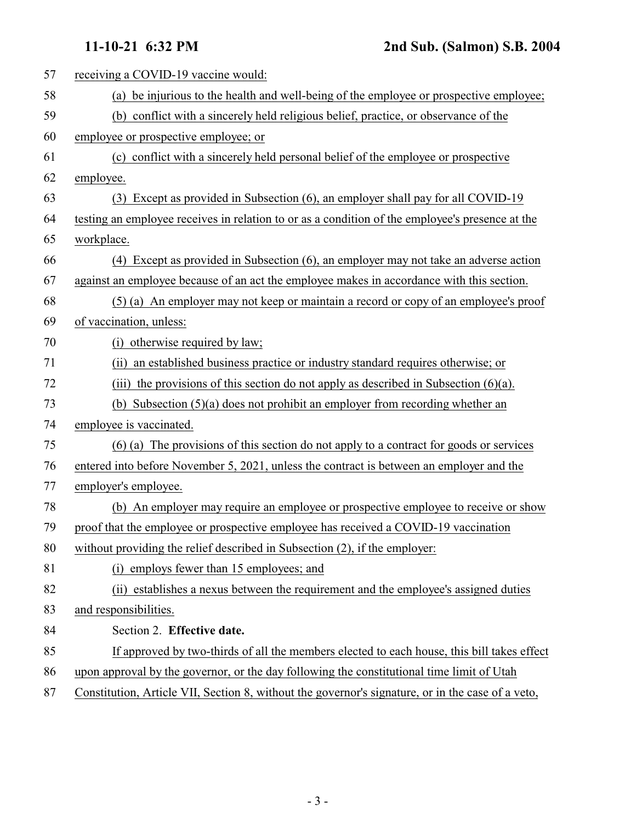| 57 | receiving a COVID-19 vaccine would:                                                               |
|----|---------------------------------------------------------------------------------------------------|
| 58 | (a) be injurious to the health and well-being of the employee or prospective employee;            |
| 59 | (b) conflict with a sincerely held religious belief, practice, or observance of the               |
| 60 | employee or prospective employee; or                                                              |
| 61 | (c) conflict with a sincerely held personal belief of the employee or prospective                 |
| 62 | employee.                                                                                         |
| 63 | (3) Except as provided in Subsection (6), an employer shall pay for all COVID-19                  |
| 64 | testing an employee receives in relation to or as a condition of the employee's presence at the   |
| 65 | workplace.                                                                                        |
| 66 | (4) Except as provided in Subsection (6), an employer may not take an adverse action              |
| 67 | against an employee because of an act the employee makes in accordance with this section.         |
| 68 | (5) (a) An employer may not keep or maintain a record or copy of an employee's proof              |
| 69 | of vaccination, unless:                                                                           |
| 70 | (i) otherwise required by law;                                                                    |
| 71 | (ii) an established business practice or industry standard requires otherwise; or                 |
| 72 | (iii) the provisions of this section do not apply as described in Subsection $(6)(a)$ .           |
| 73 | (b) Subsection $(5)(a)$ does not prohibit an employer from recording whether an                   |
| 74 | employee is vaccinated.                                                                           |
| 75 | (6) (a) The provisions of this section do not apply to a contract for goods or services           |
| 76 | entered into before November 5, 2021, unless the contract is between an employer and the          |
| 77 | employer's employee.                                                                              |
| 78 | (b) An employer may require an employee or prospective employee to receive or show                |
| 79 | proof that the employee or prospective employee has received a COVID-19 vaccination               |
| 80 | without providing the relief described in Subsection (2), if the employer:                        |
| 81 | (i) employs fewer than 15 employees; and                                                          |
| 82 | (ii) establishes a nexus between the requirement and the employee's assigned duties               |
| 83 | and responsibilities.                                                                             |
| 84 | Section 2. Effective date.                                                                        |
| 85 | If approved by two-thirds of all the members elected to each house, this bill takes effect        |
| 86 | upon approval by the governor, or the day following the constitutional time limit of Utah         |
| 87 | Constitution, Article VII, Section 8, without the governor's signature, or in the case of a veto, |